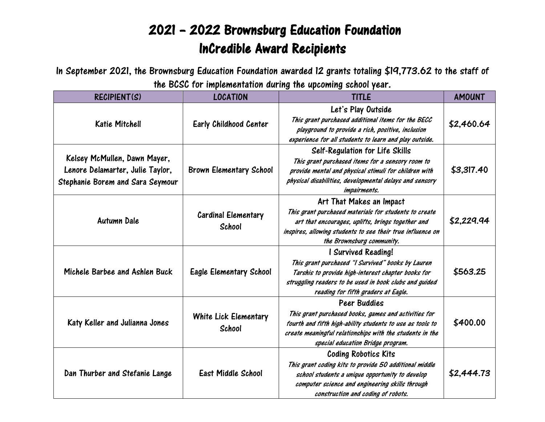## 2021 – 2022 Brownsburg Education Foundation InCredible Award Recipients

In September 2021, the Brownsburg Education Foundation awarded 12 grants totaling \$19,773.62 to the staff of the BCSC for implementation during the upcoming school year.

| RECIPIENT(S)                                                                                         | <b>LOCATION</b>                      | $\cdots$<br><b>TITLE</b>                                                                                                                                                                                                           | <b>AMOUNT</b> |
|------------------------------------------------------------------------------------------------------|--------------------------------------|------------------------------------------------------------------------------------------------------------------------------------------------------------------------------------------------------------------------------------|---------------|
| <b>Katie Mitchell</b>                                                                                | Early Childhood Center               | Let's Play Outside<br>This grant purchased additional items for the BECC<br>playground to provide a rich, positive, inclusion<br>experience for all students to learn and play outside.                                            | \$2,460.64    |
| Kelsey McMullen, Dawn Mayer,<br>Lenore Delamarter, Julie Taylor,<br>Stephanie Borem and Sara Seymour | <b>Brown Elementary School</b>       | <b>Self-Regulation for Life Skills</b><br>This grant purchased items for a sensory room to<br>provide mental and physical stimuli for children with<br>physical disabilities, developmental delays and sensory<br>impairments.     | \$3,317.40    |
| <b>Autumn Dale</b>                                                                                   | <b>Cardinal Elementary</b><br>School | Art That Makes an Impact<br>This grant purchased materials for students to create<br>art that encourages, uplifts, brings together and<br>inspires, allowing students to see their true influence on<br>the Brownsburg community.  | \$2,229.94    |
| Michele Barbee and Ashlen Buck                                                                       | <b>Eagle Elementary School</b>       | I Survived Reading!<br>This grant purchased "I Survived" books by Lauren<br>Tarshis to provide high-interest chapter books for<br>struggling readers to be used in book clubs and guided<br>reading for fifth graders at Eagle.    | \$563.25      |
| Katy Keller and Julianna Jones                                                                       | White Lick Elementary<br>School      | Peer Buddies<br>This grant purchased books, games and activities for<br>fourth and fifth high-ability students to use as tools to<br>create meaningful relationships with the students in the<br>special education Bridge program. | \$400.00      |
| Dan Thurber and Stefanie Lange                                                                       | East Middle School                   | <b>Coding Robotics Kits</b><br>This grant coding kits to provide 50 additional middle<br>school students a unique opportunity to develop<br>computer science and engineering skills through<br>construction and coding of robots.  | \$2,444.73    |